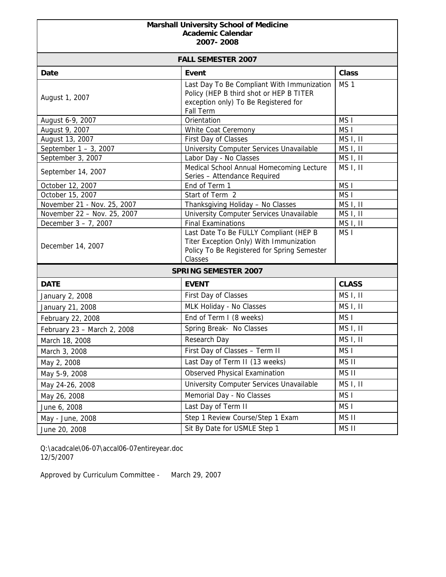## **Marshall University School of Medicine Academic Calendar 2007- 2008**

| <b>FALL SEMESTER 2007</b>   |                                                                                                                                             |                      |  |
|-----------------------------|---------------------------------------------------------------------------------------------------------------------------------------------|----------------------|--|
| Date                        | Event                                                                                                                                       | <b>Class</b>         |  |
| August 1, 2007              | Last Day To Be Compliant With Immunization<br>Policy (HEP B third shot or HEP B TITER<br>exception only) To Be Registered for<br>Fall Term  | MS <sub>1</sub>      |  |
| August 6-9, 2007            | Orientation                                                                                                                                 | MS <sub>I</sub>      |  |
| August 9, 2007              | White Coat Ceremony                                                                                                                         | MS <sub>I</sub>      |  |
| August 13, 2007             | First Day of Classes                                                                                                                        | MS <sub>I</sub> , II |  |
| September 1 - 3, 2007       | University Computer Services Unavailable                                                                                                    | MS I, II             |  |
| September 3, 2007           | Labor Day - No Classes                                                                                                                      | MS I, II             |  |
| September 14, 2007          | Medical School Annual Homecoming Lecture<br>Series - Attendance Required                                                                    | MS <sub>I</sub> , II |  |
| October 12, 2007            | End of Term 1                                                                                                                               | MS <sub>I</sub>      |  |
| October 15, 2007            | Start of Term 2                                                                                                                             | MS <sub>I</sub>      |  |
| November 21 - Nov. 25, 2007 | Thanksgiving Holiday - No Classes                                                                                                           | MS <sub>I</sub> , II |  |
| November 22 - Nov. 25, 2007 | University Computer Services Unavailable                                                                                                    | MS <sub>I</sub> , II |  |
| December 3 - 7, 2007        | <b>Final Examinations</b>                                                                                                                   | MS I, II             |  |
| December 14, 2007           | Last Date To Be FULLY Compliant (HEP B<br>Titer Exception Only) With Immunization<br>Policy To Be Registered for Spring Semester<br>Classes | MS <sub>I</sub>      |  |
| <b>SPRING SEMESTER 2007</b> |                                                                                                                                             |                      |  |
| <b>DATE</b>                 | <b>EVENT</b>                                                                                                                                | <b>CLASS</b>         |  |
| January 2, 2008             | First Day of Classes                                                                                                                        | MS I, II             |  |
| January 21, 2008            | MLK Holiday - No Classes                                                                                                                    | MS <sub>I</sub> , II |  |
| February 22, 2008           | End of Term I (8 weeks)                                                                                                                     | MS <sub>I</sub>      |  |
| February 23 - March 2, 2008 | Spring Break- No Classes                                                                                                                    | MS I, II             |  |
| March 18, 2008              | Research Day                                                                                                                                | MS I, II             |  |
| March 3, 2008               | First Day of Classes - Term II                                                                                                              | MS <sub>I</sub>      |  |
| May 2, 2008                 | Last Day of Term II (13 weeks)                                                                                                              | MS II                |  |
| May 5-9, 2008               | <b>Observed Physical Examination</b>                                                                                                        | MS II                |  |
| May 24-26, 2008             | University Computer Services Unavailable                                                                                                    | MS I, II             |  |
| May 26, 2008                | Memorial Day - No Classes                                                                                                                   | MS <sub>I</sub>      |  |
| June 6, 2008                | Last Day of Term II                                                                                                                         | MS I                 |  |
| May - June, 2008            | Step 1 Review Course/Step 1 Exam                                                                                                            | MS II                |  |
| June 20, 2008               | Sit By Date for USMLE Step 1                                                                                                                | MS II                |  |

Q:\acadcale\06-07\accal06-07entireyear.doc 12/5/2007

Approved by Curriculum Committee - March 29, 2007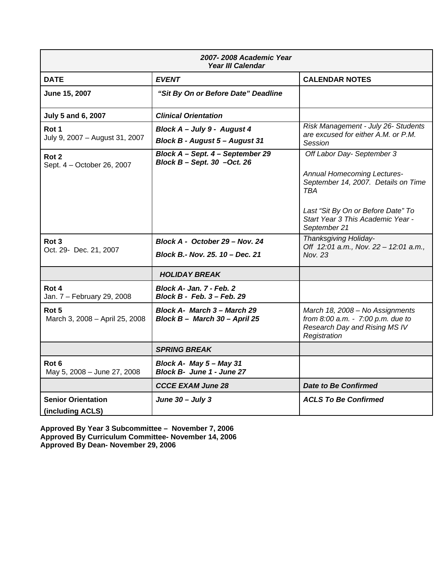| 2007-2008 Academic Year<br>Year III Calendar   |                                                                      |                                                                                                                       |  |
|------------------------------------------------|----------------------------------------------------------------------|-----------------------------------------------------------------------------------------------------------------------|--|
| <b>DATE</b>                                    | <b>EVENT</b>                                                         | <b>CALENDAR NOTES</b>                                                                                                 |  |
| June 15, 2007                                  | "Sit By On or Before Date" Deadline                                  |                                                                                                                       |  |
| July 5 and 6, 2007                             | <b>Clinical Orientation</b>                                          |                                                                                                                       |  |
| Rot 1                                          | Block A - July 9 - August 4                                          | Risk Management - July 26- Students<br>are excused for either A.M. or P.M.                                            |  |
| July 9, 2007 - August 31, 2007                 | Block B - August 5 - August 31                                       | Session                                                                                                               |  |
| Rot <sub>2</sub><br>Sept. 4 - October 26, 2007 | Block A - Sept. 4 - September 29<br>Block $B -$ Sept. 30 $-$ Oct. 26 | Off Labor Day- September 3<br>Annual Homecoming Lectures-                                                             |  |
|                                                |                                                                      | September 14, 2007. Details on Time<br><b>TRA</b>                                                                     |  |
|                                                |                                                                      | Last "Sit By On or Before Date" To<br>Start Year 3 This Academic Year -<br>September 21                               |  |
| Rot 3                                          | Block A - October 29 - Nov. 24                                       | Thanksgiving Holiday-<br>Off 12:01 a.m., Nov. 22 - 12:01 a.m.,                                                        |  |
| Oct. 29- Dec. 21, 2007                         | Block B.- Nov. 25. 10 - Dec. 21                                      | Nov. 23                                                                                                               |  |
|                                                | <b>HOLIDAY BREAK</b>                                                 |                                                                                                                       |  |
| Rot 4<br>Jan. 7 - February 29, 2008            | <b>Block A- Jan. 7 - Feb. 2</b><br>Block B - Feb. 3 – Feb. 29        |                                                                                                                       |  |
| Rot 5<br>March 3, 2008 - April 25, 2008        | Block A- March 3 – March 29<br>Block B - March 30 - April 25         | March 18, 2008 - No Assignments<br>from 8:00 a.m. - 7:00 p.m. due to<br>Research Day and Rising MS IV<br>Registration |  |
|                                                | <b>SPRING BREAK</b>                                                  |                                                                                                                       |  |
| Rot 6<br>May 5, 2008 - June 27, 2008           | Block A- May 5 - May 31<br>Block B- June 1 - June 27                 |                                                                                                                       |  |
|                                                | <b>CCCE EXAM June 28</b>                                             | <b>Date to Be Confirmed</b>                                                                                           |  |
| <b>Senior Orientation</b><br>(including ACLS)  | June $30 -$ July 3                                                   | <b>ACLS To Be Confirmed</b>                                                                                           |  |

**Approved By Year 3 Subcommittee – November 7, 2006 Approved By Curriculum Committee- November 14, 2006 Approved By Dean- November 29, 2006**